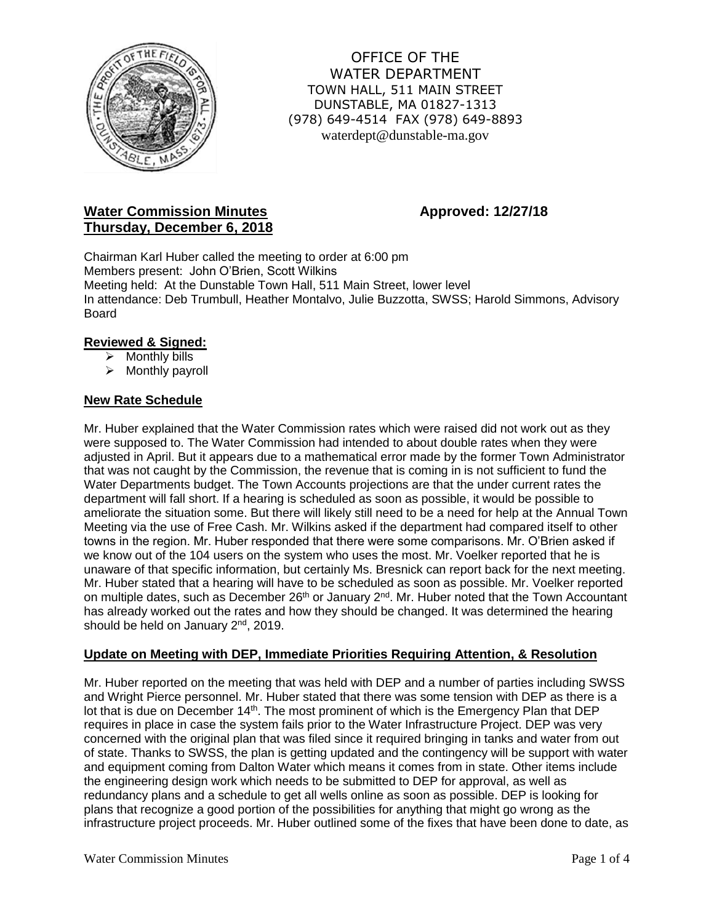

OFFICE OF THE WATER DEPARTMENT TOWN HALL, 511 MAIN STREET DUNSTABLE, MA 01827-1313 (978) 649-4514 FAX (978) 649-8893 waterdept@dunstable-ma.gov

# **Water Commission Minutes <b>Approved: 12/27/18 Thursday, December 6, 2018**

Chairman Karl Huber called the meeting to order at 6:00 pm Members present: John O'Brien, Scott Wilkins Meeting held: At the Dunstable Town Hall, 511 Main Street, lower level In attendance: Deb Trumbull, Heather Montalvo, Julie Buzzotta, SWSS; Harold Simmons, Advisory Board

## **Reviewed & Signed:**

- $\triangleright$  Monthly bills
- ➢ Monthly payroll

## **New Rate Schedule**

Mr. Huber explained that the Water Commission rates which were raised did not work out as they were supposed to. The Water Commission had intended to about double rates when they were adjusted in April. But it appears due to a mathematical error made by the former Town Administrator that was not caught by the Commission, the revenue that is coming in is not sufficient to fund the Water Departments budget. The Town Accounts projections are that the under current rates the department will fall short. If a hearing is scheduled as soon as possible, it would be possible to ameliorate the situation some. But there will likely still need to be a need for help at the Annual Town Meeting via the use of Free Cash. Mr. Wilkins asked if the department had compared itself to other towns in the region. Mr. Huber responded that there were some comparisons. Mr. O'Brien asked if we know out of the 104 users on the system who uses the most. Mr. Voelker reported that he is unaware of that specific information, but certainly Ms. Bresnick can report back for the next meeting. Mr. Huber stated that a hearing will have to be scheduled as soon as possible. Mr. Voelker reported on multiple dates, such as December 26<sup>th</sup> or January 2<sup>nd</sup>. Mr. Huber noted that the Town Accountant has already worked out the rates and how they should be changed. It was determined the hearing should be held on January 2<sup>nd</sup>, 2019.

## **Update on Meeting with DEP, Immediate Priorities Requiring Attention, & Resolution**

Mr. Huber reported on the meeting that was held with DEP and a number of parties including SWSS and Wright Pierce personnel. Mr. Huber stated that there was some tension with DEP as there is a lot that is due on December 14<sup>th</sup>. The most prominent of which is the Emergency Plan that DEP requires in place in case the system fails prior to the Water Infrastructure Project. DEP was very concerned with the original plan that was filed since it required bringing in tanks and water from out of state. Thanks to SWSS, the plan is getting updated and the contingency will be support with water and equipment coming from Dalton Water which means it comes from in state. Other items include the engineering design work which needs to be submitted to DEP for approval, as well as redundancy plans and a schedule to get all wells online as soon as possible. DEP is looking for plans that recognize a good portion of the possibilities for anything that might go wrong as the infrastructure project proceeds. Mr. Huber outlined some of the fixes that have been done to date, as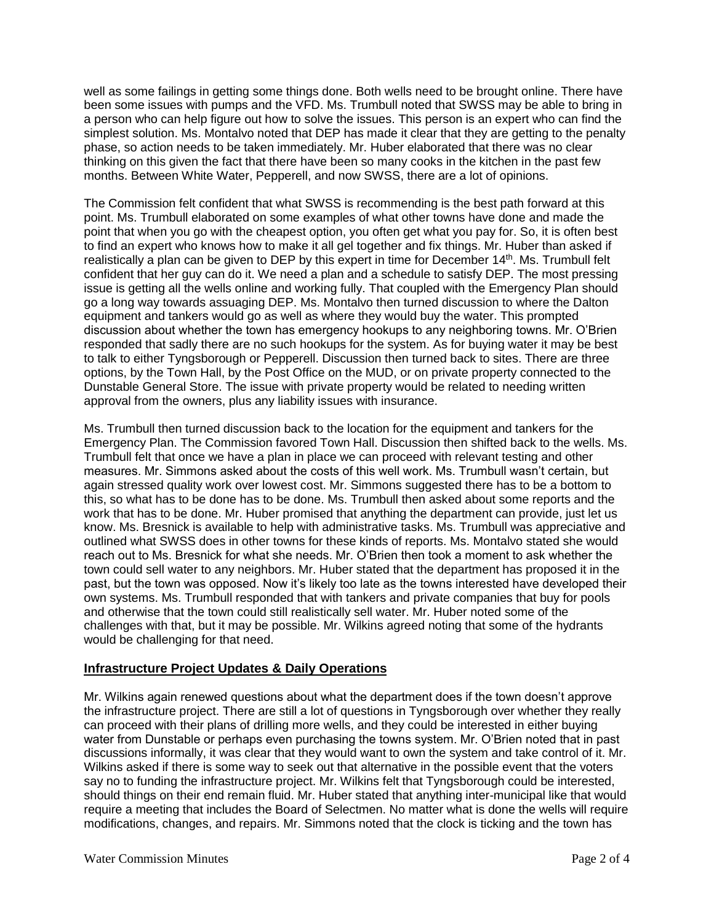well as some failings in getting some things done. Both wells need to be brought online. There have been some issues with pumps and the VFD. Ms. Trumbull noted that SWSS may be able to bring in a person who can help figure out how to solve the issues. This person is an expert who can find the simplest solution. Ms. Montalvo noted that DEP has made it clear that they are getting to the penalty phase, so action needs to be taken immediately. Mr. Huber elaborated that there was no clear thinking on this given the fact that there have been so many cooks in the kitchen in the past few months. Between White Water, Pepperell, and now SWSS, there are a lot of opinions.

The Commission felt confident that what SWSS is recommending is the best path forward at this point. Ms. Trumbull elaborated on some examples of what other towns have done and made the point that when you go with the cheapest option, you often get what you pay for. So, it is often best to find an expert who knows how to make it all gel together and fix things. Mr. Huber than asked if realistically a plan can be given to DEP by this expert in time for December 14<sup>th</sup>. Ms. Trumbull felt confident that her guy can do it. We need a plan and a schedule to satisfy DEP. The most pressing issue is getting all the wells online and working fully. That coupled with the Emergency Plan should go a long way towards assuaging DEP. Ms. Montalvo then turned discussion to where the Dalton equipment and tankers would go as well as where they would buy the water. This prompted discussion about whether the town has emergency hookups to any neighboring towns. Mr. O'Brien responded that sadly there are no such hookups for the system. As for buying water it may be best to talk to either Tyngsborough or Pepperell. Discussion then turned back to sites. There are three options, by the Town Hall, by the Post Office on the MUD, or on private property connected to the Dunstable General Store. The issue with private property would be related to needing written approval from the owners, plus any liability issues with insurance.

Ms. Trumbull then turned discussion back to the location for the equipment and tankers for the Emergency Plan. The Commission favored Town Hall. Discussion then shifted back to the wells. Ms. Trumbull felt that once we have a plan in place we can proceed with relevant testing and other measures. Mr. Simmons asked about the costs of this well work. Ms. Trumbull wasn't certain, but again stressed quality work over lowest cost. Mr. Simmons suggested there has to be a bottom to this, so what has to be done has to be done. Ms. Trumbull then asked about some reports and the work that has to be done. Mr. Huber promised that anything the department can provide, just let us know. Ms. Bresnick is available to help with administrative tasks. Ms. Trumbull was appreciative and outlined what SWSS does in other towns for these kinds of reports. Ms. Montalvo stated she would reach out to Ms. Bresnick for what she needs. Mr. O'Brien then took a moment to ask whether the town could sell water to any neighbors. Mr. Huber stated that the department has proposed it in the past, but the town was opposed. Now it's likely too late as the towns interested have developed their own systems. Ms. Trumbull responded that with tankers and private companies that buy for pools and otherwise that the town could still realistically sell water. Mr. Huber noted some of the challenges with that, but it may be possible. Mr. Wilkins agreed noting that some of the hydrants would be challenging for that need.

## **Infrastructure Project Updates & Daily Operations**

Mr. Wilkins again renewed questions about what the department does if the town doesn't approve the infrastructure project. There are still a lot of questions in Tyngsborough over whether they really can proceed with their plans of drilling more wells, and they could be interested in either buying water from Dunstable or perhaps even purchasing the towns system. Mr. O'Brien noted that in past discussions informally, it was clear that they would want to own the system and take control of it. Mr. Wilkins asked if there is some way to seek out that alternative in the possible event that the voters say no to funding the infrastructure project. Mr. Wilkins felt that Tyngsborough could be interested, should things on their end remain fluid. Mr. Huber stated that anything inter-municipal like that would require a meeting that includes the Board of Selectmen. No matter what is done the wells will require modifications, changes, and repairs. Mr. Simmons noted that the clock is ticking and the town has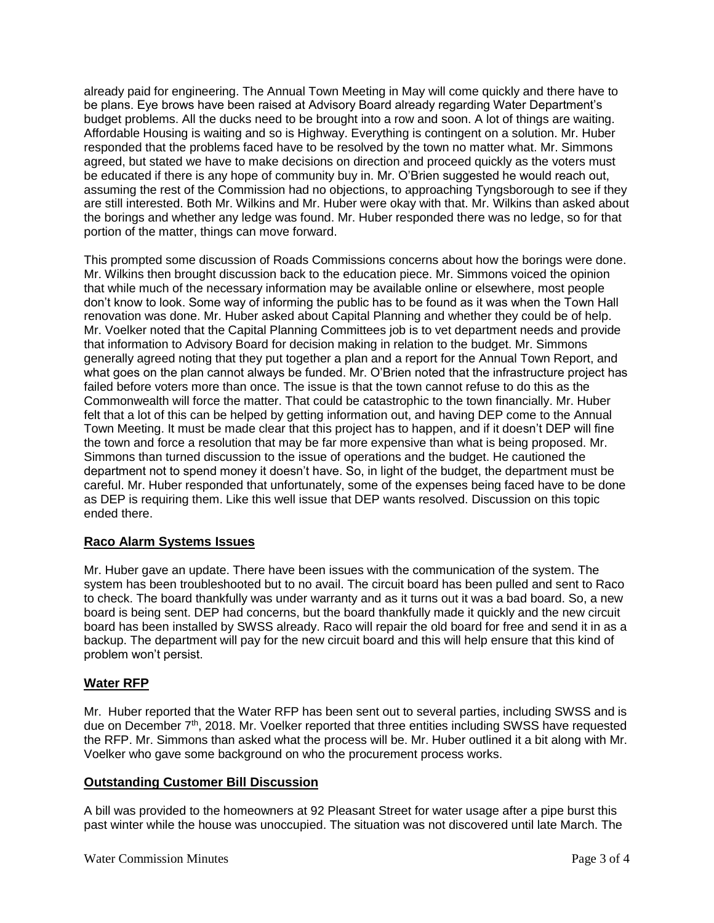already paid for engineering. The Annual Town Meeting in May will come quickly and there have to be plans. Eye brows have been raised at Advisory Board already regarding Water Department's budget problems. All the ducks need to be brought into a row and soon. A lot of things are waiting. Affordable Housing is waiting and so is Highway. Everything is contingent on a solution. Mr. Huber responded that the problems faced have to be resolved by the town no matter what. Mr. Simmons agreed, but stated we have to make decisions on direction and proceed quickly as the voters must be educated if there is any hope of community buy in. Mr. O'Brien suggested he would reach out, assuming the rest of the Commission had no objections, to approaching Tyngsborough to see if they are still interested. Both Mr. Wilkins and Mr. Huber were okay with that. Mr. Wilkins than asked about the borings and whether any ledge was found. Mr. Huber responded there was no ledge, so for that portion of the matter, things can move forward.

This prompted some discussion of Roads Commissions concerns about how the borings were done. Mr. Wilkins then brought discussion back to the education piece. Mr. Simmons voiced the opinion that while much of the necessary information may be available online or elsewhere, most people don't know to look. Some way of informing the public has to be found as it was when the Town Hall renovation was done. Mr. Huber asked about Capital Planning and whether they could be of help. Mr. Voelker noted that the Capital Planning Committees job is to vet department needs and provide that information to Advisory Board for decision making in relation to the budget. Mr. Simmons generally agreed noting that they put together a plan and a report for the Annual Town Report, and what goes on the plan cannot always be funded. Mr. O'Brien noted that the infrastructure project has failed before voters more than once. The issue is that the town cannot refuse to do this as the Commonwealth will force the matter. That could be catastrophic to the town financially. Mr. Huber felt that a lot of this can be helped by getting information out, and having DEP come to the Annual Town Meeting. It must be made clear that this project has to happen, and if it doesn't DEP will fine the town and force a resolution that may be far more expensive than what is being proposed. Mr. Simmons than turned discussion to the issue of operations and the budget. He cautioned the department not to spend money it doesn't have. So, in light of the budget, the department must be careful. Mr. Huber responded that unfortunately, some of the expenses being faced have to be done as DEP is requiring them. Like this well issue that DEP wants resolved. Discussion on this topic ended there.

# **Raco Alarm Systems Issues**

Mr. Huber gave an update. There have been issues with the communication of the system. The system has been troubleshooted but to no avail. The circuit board has been pulled and sent to Raco to check. The board thankfully was under warranty and as it turns out it was a bad board. So, a new board is being sent. DEP had concerns, but the board thankfully made it quickly and the new circuit board has been installed by SWSS already. Raco will repair the old board for free and send it in as a backup. The department will pay for the new circuit board and this will help ensure that this kind of problem won't persist.

## **Water RFP**

Mr. Huber reported that the Water RFP has been sent out to several parties, including SWSS and is due on December 7<sup>th</sup>, 2018. Mr. Voelker reported that three entities including SWSS have requested the RFP. Mr. Simmons than asked what the process will be. Mr. Huber outlined it a bit along with Mr. Voelker who gave some background on who the procurement process works.

## **Outstanding Customer Bill Discussion**

A bill was provided to the homeowners at 92 Pleasant Street for water usage after a pipe burst this past winter while the house was unoccupied. The situation was not discovered until late March. The